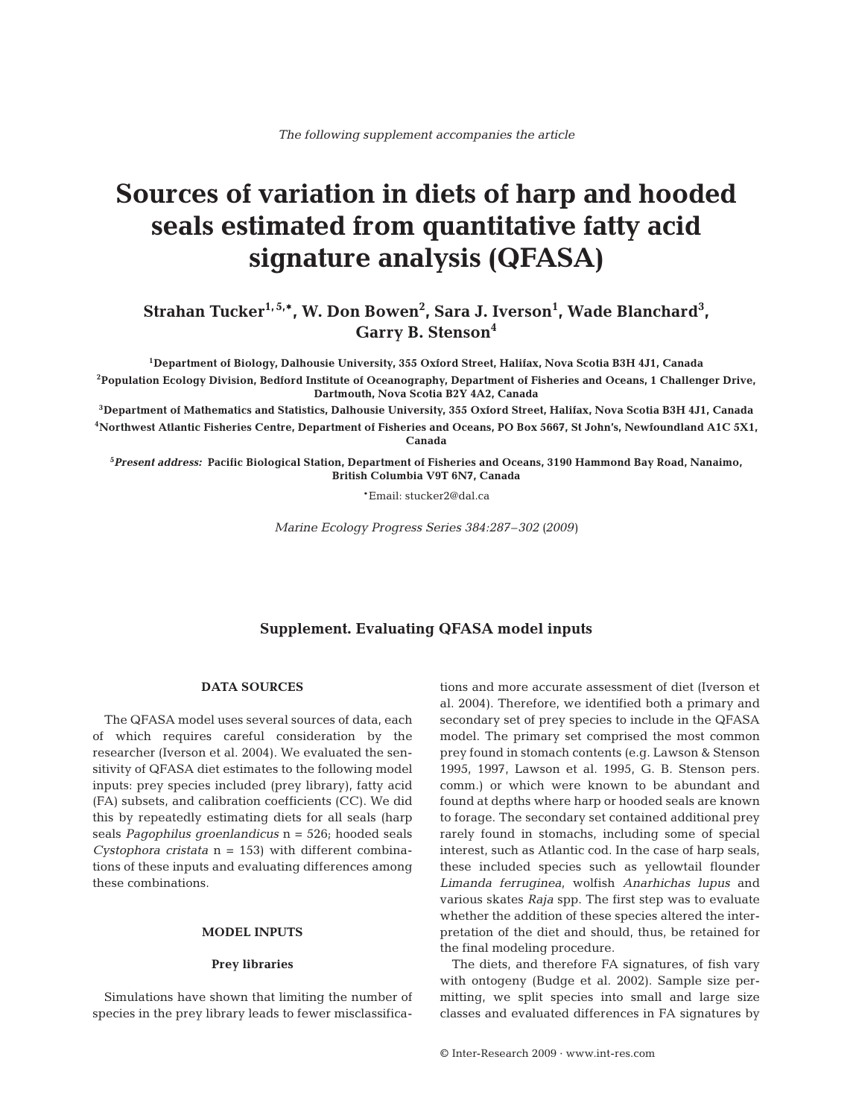# **Sources of variation in diets of harp and hooded seals estimated from quantitative fatty acid signature analysis (QFASA)**

Strahan Tucker<sup>1,5,\*</sup>, W. Don Bowen<sup>2</sup>, Sara J. Iverson<sup>1</sup>, Wade Blanchard<sup>3</sup>, **Garry B. Stenson4**

**1Department of Biology, Dalhousie University, 355 Oxford Street, Halifax, Nova Scotia B3H 4J1, Canada 2Population Ecology Division, Bedford Institute of Oceanography, Department of Fisheries and Oceans, 1 Challenger Drive, Dartmouth, Nova Scotia B2Y 4A2, Canada**

**3Department of Mathematics and Statistics, Dalhousie University, 355 Oxford Street, Halifax, Nova Scotia B3H 4J1, Canada 4Northwest Atlantic Fisheries Centre, Department of Fisheries and Oceans, PO Box 5667, St John's, Newfoundland A1C 5X1, Canada**

**5** *Present address:* **Pacific Biological Station, Department of Fisheries and Oceans, 3190 Hammond Bay Road, Nanaimo, British Columbia V9T 6N7, Canada**

\*Email: stucker2@dal.ca

*Marine Ecology Progress Series 384:287–302 (2009)*

# **Supplement. Evaluating QFASA model inputs**

## **DATA SOURCES**

The QFASA model uses several sources of data, each of which requires careful consideration by the researcher (Iverson et al. 2004). We evaluated the sensitivity of QFASA diet estimates to the following model inputs: prey species included (prey library), fatty acid (FA) subsets, and calibration coefficients (CC). We did this by repeatedly estimating diets for all seals (harp seals *Pagophilus groenlandicus* n = 526; hooded seals *Cystophora cristata* n = 153) with different combinations of these inputs and evaluating differences among these combinations.

# **MODEL INPUTS**

# **Prey libraries**

Simulations have shown that limiting the number of species in the prey library leads to fewer misclassifications and more accurate assessment of diet (Iverson et al. 2004). Therefore, we identified both a primary and secondary set of prey species to include in the QFASA model. The primary set comprised the most common prey found in stomach contents (e.g. Lawson & Stenson 1995, 1997, Lawson et al. 1995, G. B. Stenson pers. comm.) or which were known to be abundant and found at depths where harp or hooded seals are known to forage. The secondary set contained additional prey rarely found in stomachs, including some of special interest, such as Atlantic cod. In the case of harp seals, these included species such as yellowtail flounder *Limanda ferruginea*, wolfish *Anarhichas lupus* and various skates *Raja* spp. The first step was to evaluate whether the addition of these species altered the interpretation of the diet and should, thus, be retained for the final modeling procedure.

The diets, and therefore FA signatures, of fish vary with ontogeny (Budge et al. 2002). Sample size permitting, we split species into small and large size classes and evaluated differences in FA signatures by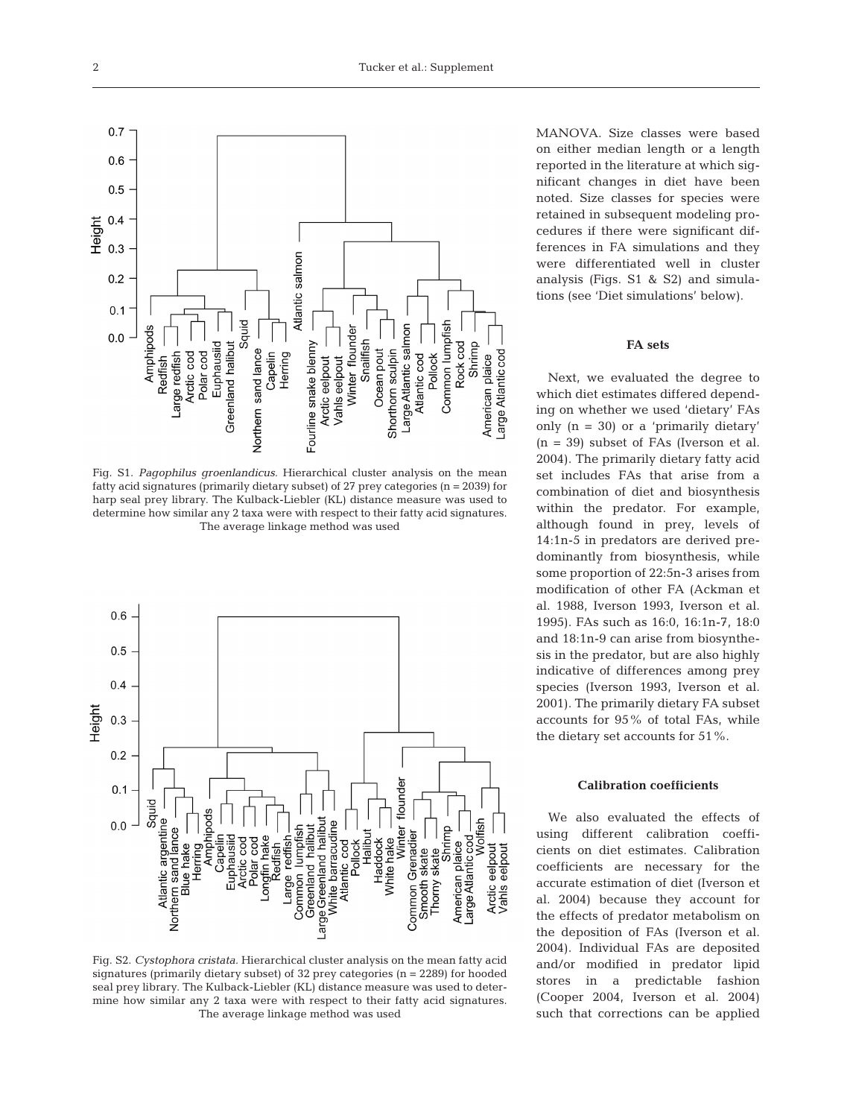

Fig. S1. *Pagophilus groenlandicus.* Hierarchical cluster analysis on the mean fatty acid signatures (primarily dietary subset) of  $27$  prey categories (n =  $2039$ ) for harp seal prey library. The Kulback-Liebler (KL) distance measure was used to determine how similar any 2 taxa were with respect to their fatty acid signatures. The average linkage method was used



Fig. S2. *Cystophora cristata.* Hierarchical cluster analysis on the mean fatty acid signatures (primarily dietary subset) of 32 prey categories (n = 2289) for hooded seal prey library. The Kulback-Liebler (KL) distance measure was used to determine how similar any 2 taxa were with respect to their fatty acid signatures. The average linkage method was used

MANOVA. Size classes were based on either median length or a length reported in the literature at which significant changes in diet have been noted. Size classes for species were retained in subsequent modeling procedures if there were significant differences in FA simulations and they were differentiated well in cluster analysis (Figs. S1 & S2) and simulations (see 'Diet simulations' below).

### **FA sets**

Next, we evaluated the degree to which diet estimates differed depending on whether we used 'dietary' FAs only (n = 30) or a 'primarily dietary'  $(n = 39)$  subset of FAs (Iverson et al. 2004). The primarily dietary fatty acid set includes FAs that arise from a combination of diet and biosynthesis within the predator. For example, although found in prey, levels of 14:1n-5 in predators are derived predominantly from biosynthesis, while some proportion of 22:5n-3 arises from modification of other FA (Ackman et al. 1988, Iverson 1993, Iverson et al. 1995). FAs such as 16:0, 16:1n-7, 18:0 and 18:1n-9 can arise from biosynthesis in the predator, but are also highly indicative of differences among prey species (Iverson 1993, Iverson et al. 2001). The primarily dietary FA subset accounts for 95% of total FAs, while the dietary set accounts for 51%.

### **Calibration coefficients**

We also evaluated the effects of using different calibration coefficients on diet estimates. Calibration coefficients are necessary for the accurate estimation of diet (Iverson et al. 2004) because they account for the effects of predator metabolism on the deposition of FAs (Iverson et al. 2004). Individual FAs are deposited and/or modified in predator lipid stores in a predictable fashion (Cooper 2004, Iverson et al. 2004) such that corrections can be applied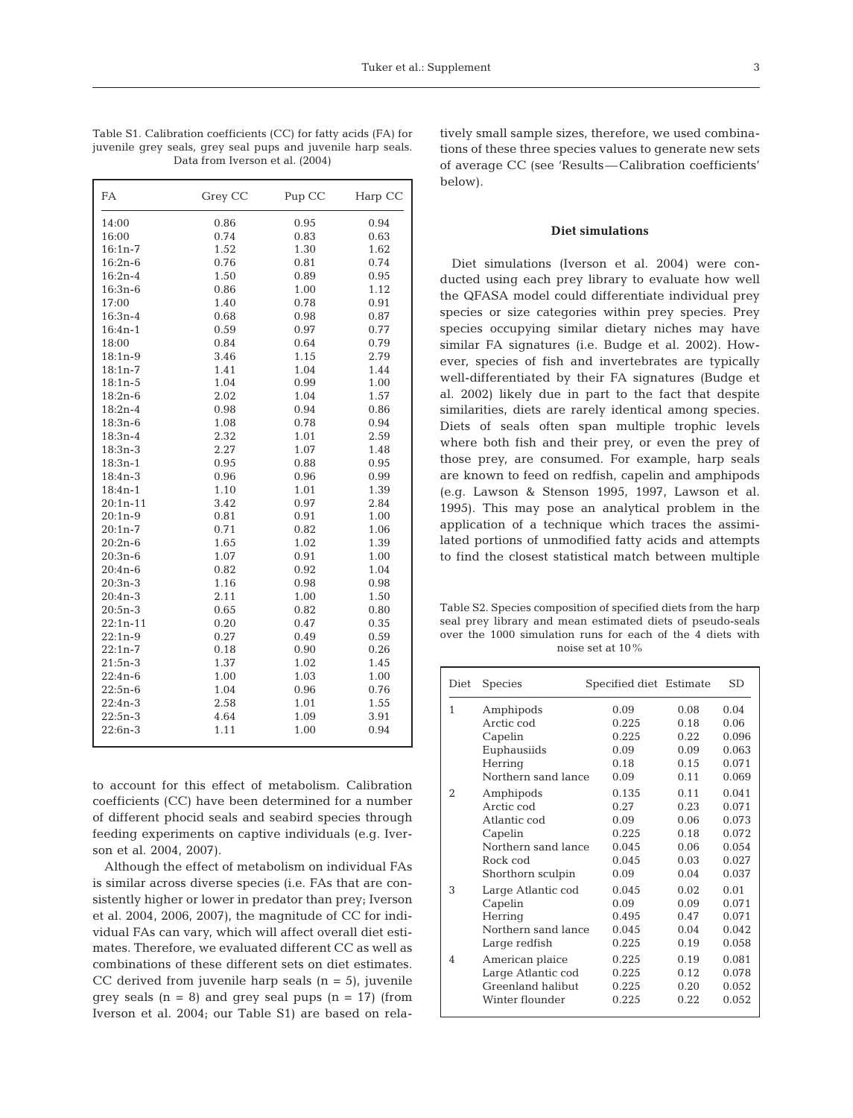| FA         | Grey CC | Pup CC | Harp CC |
|------------|---------|--------|---------|
| 14:00      | 0.86    | 0.95   | 0.94    |
| 16:00      | 0.74    | 0.83   | 0.63    |
| $16:1n-7$  | 1.52    | 1.30   | 1.62    |
| $16:2n-6$  | 0.76    | 0.81   | 0.74    |
| $16:2n-4$  | 1.50    | 0.89   | 0.95    |
| $16:3n-6$  | 0.86    | 1.00   | 1.12    |
| 17:00      | 1.40    | 0.78   | 0.91    |
| $16:3n-4$  | 0.68    | 0.98   | 0.87    |
| $16:4n-1$  | 0.59    | 0.97   | 0.77    |
| 18:00      | 0.84    | 0.64   | 0.79    |
| $18:1n-9$  | 3.46    | 1.15   | 2.79    |
| $18:1n-7$  | 1.41    | 1.04   | 1.44    |
| $18:1n-5$  | 1.04    | 0.99   | 1.00    |
| $18:2n-6$  | 2.02    | 1.04   | 1.57    |
| $18:2n-4$  | 0.98    | 0.94   | 0.86    |
| 18:3n-6    | 1.08    | 0.78   | 0.94    |
| $18:3n-4$  | 2.32    | 1.01   | 2.59    |
| $18:3n-3$  | 2.27    | 1.07   | 1.48    |
| $18:3n-1$  | 0.95    | 0.88   | 0.95    |
| $18:4n-3$  | 0.96    | 0.96   | 0.99    |
| $18:4n-1$  | 1.10    | 1.01   | 1.39    |
| $20:1n-11$ | 3.42    | 0.97   | 2.84    |
| $20:1n-9$  | 0.81    | 0.91   | 1.00    |
| $20:1n-7$  | 0.71    | 0.82   | 1.06    |
| $20:2n-6$  | 1.65    | 1.02   | 1.39    |
| $20:3n-6$  | 1.07    | 0.91   | 1.00    |
| $20:4n-6$  | 0.82    | 0.92   | 1.04    |
| $20:3n-3$  | 1.16    | 0.98   | 0.98    |
| $20:4n-3$  | 2.11    | 1.00   | 1.50    |
| $20:5n-3$  | 0.65    | 0.82   | 0.80    |
| $22:1n-11$ | 0.20    | 0.47   | 0.35    |
| $22:1n-9$  | 0.27    | 0.49   | 0.59    |
| $22:1n-7$  | 0.18    | 0.90   | 0.26    |
| $21:5n-3$  | 1.37    | 1.02   | 1.45    |
| $22:4n-6$  | 1.00    | 1.03   | 1.00    |
| $22:5n-6$  | 1.04    | 0.96   | 0.76    |
| $22:4n-3$  | 2.58    | 1.01   | 1.55    |
| $22:5n-3$  | 4.64    | 1.09   | 3.91    |
| 22:6n-3    | 1.11    | 1.00   | 0.94    |

Table S1. Calibration coefficients (CC) for fatty acids (FA) for juvenile grey seals, grey seal pups and juvenile harp seals. Data from Iverson et al. (2004)

to account for this effect of metabolism. Calibration coefficients (CC) have been determined for a number of different phocid seals and seabird species through feeding experiments on captive individuals (e.g. Iverson et al. 2004, 2007).

Although the effect of metabolism on individual FAs is similar across diverse species (i.e. FAs that are consistently higher or lower in predator than prey; Iverson et al. 2004, 2006, 2007), the magnitude of CC for individual FAs can vary, which will affect overall diet estimates. Therefore, we evaluated different CC as well as combinations of these different sets on diet estimates. CC derived from juvenile harp seals  $(n = 5)$ , juvenile grey seals  $(n = 8)$  and grey seal pups  $(n = 17)$  (from Iverson et al. 2004; our Table S1) are based on relatively small sample sizes, therefore, we used combinations of these three species values to generate new sets of average CC (see 'Results—Calibration coefficients' below).

## **Diet simulations**

Diet simulations (Iverson et al. 2004) were conducted using each prey library to evaluate how well the QFASA model could differentiate individual prey species or size categories within prey species. Prey species occupying similar dietary niches may have similar FA signatures (i.e. Budge et al. 2002). However, species of fish and invertebrates are typically well-differentiated by their FA signatures (Budge et al. 2002) likely due in part to the fact that despite similarities, diets are rarely identical among species. Diets of seals often span multiple trophic levels where both fish and their prey, or even the prey of those prey, are consumed. For example, harp seals are known to feed on redfish, capelin and amphipods (e.g. Lawson & Stenson 1995, 1997, Lawson et al. 1995). This may pose an analytical problem in the application of a technique which traces the assimilated portions of unmodified fatty acids and attempts to find the closest statistical match between multiple

Table S2. Species composition of specified diets from the harp seal prey library and mean estimated diets of pseudo-seals over the 1000 simulation runs for each of the 4 diets with noise set at 10%

| Diet | <b>Species</b>      | Specified diet Estimate |       | SD    |
|------|---------------------|-------------------------|-------|-------|
| 1    | Amphipods           | 0.09                    | 0.08  | 0.04  |
|      | Arctic cod          | 0.225                   | 0.18  | 0.06  |
|      | Capelin             | 0.225                   | 0.22  | 0.096 |
|      | Euphausiids         | 0.09                    | 0.09  | 0.063 |
|      | Herring             | 0.18                    | 0.15  | 0.071 |
|      | Northern sand lance | 0.09                    | 0.11  | 0.069 |
| 2    | Amphipods           | 0.135                   | 0.11  | 0.041 |
|      | Arctic cod          | 0.27                    | 0.23  | 0.071 |
|      | Atlantic cod        | 0.09                    | 0.06  | 0.073 |
|      | Capelin             | 0.225                   | 0.18  | 0.072 |
|      | Northern sand lance | 0.045                   | 0.06  | 0.054 |
|      | Rock cod            | 0.045                   | 0.03  | 0.027 |
|      | Shorthorn sculpin   | 0.09                    | 0.04  | 0.037 |
| 3    | Large Atlantic cod  | 0.045                   | 0.02  | 0.01  |
|      | Capelin             | 0.09                    | 0.09  | 0.071 |
|      | Herring             | 0.495                   | 0.47  | 0.071 |
|      | Northern sand lance | 0.045                   | 0.04  | 0.042 |
|      | Large redfish       | 0.225                   | 0.19  | 0.058 |
| 4    | American plaice     | 0.225                   | 0.19  | 0.081 |
|      | Large Atlantic cod  | 0.225                   | 0.12. | 0.078 |
|      | Greenland halibut   | 0.225                   | 0.20  | 0.052 |
|      | Winter flounder     | 0.225                   | 0.22  | 0.052 |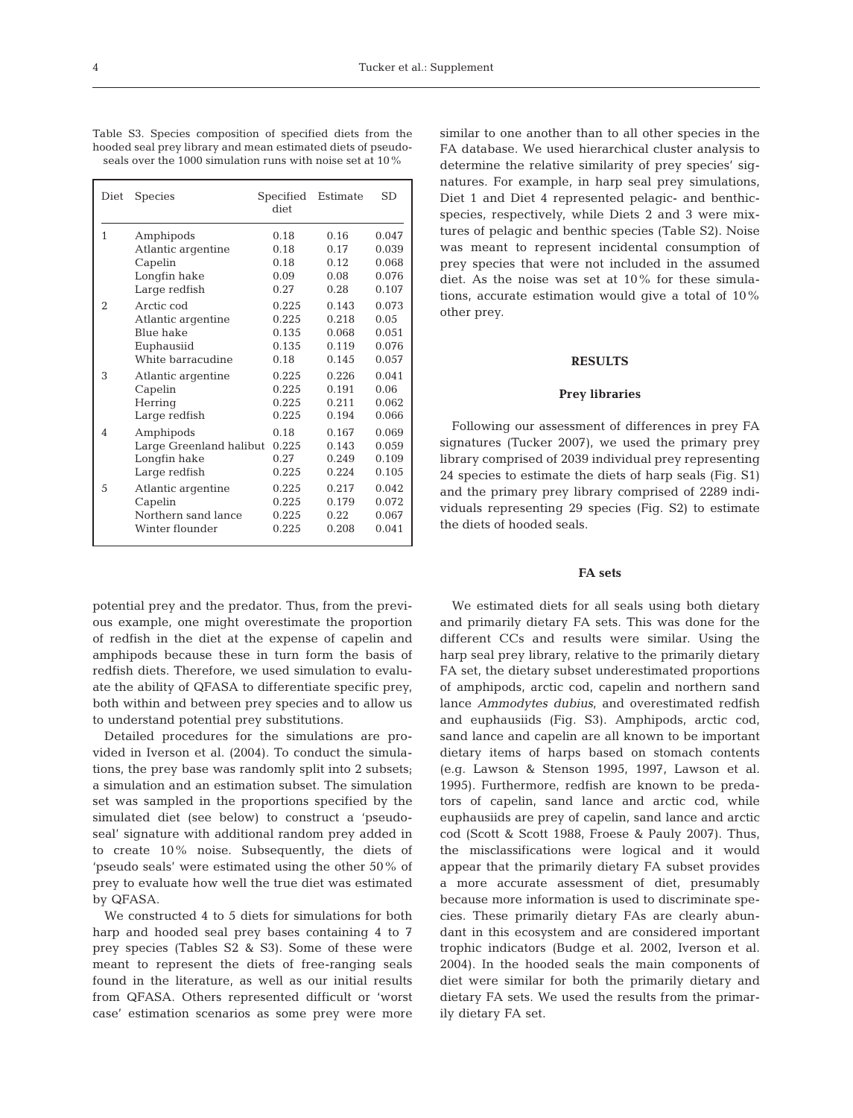Table S3. Species composition of specified diets from the hooded seal prey library and mean estimated diets of pseudoseals over the 1000 simulation runs with noise set at 10%

| Diet           | <b>Species</b>          | Specified Estimate<br>diet |       | <b>SD</b> |
|----------------|-------------------------|----------------------------|-------|-----------|
| $\mathbf{1}$   | Amphipods               | 0.18                       | 0.16  | 0.047     |
|                | Atlantic argentine      | 0.18                       | 0.17  | 0.039     |
|                | Capelin                 | 0.18                       | 0.12  | 0.068     |
|                | Longfin hake            | 0.09                       | 0.08  | 0.076     |
|                | Large redfish           | 0.27                       | 0.28  | 0.107     |
| $\overline{2}$ | Arctic cod              | 0.225                      | 0.143 | 0.073     |
|                | Atlantic argentine      | 0.225                      | 0.218 | 0.05      |
|                | Blue hake               | 0.135                      | 0.068 | 0.051     |
|                | Euphausiid              | 0.135                      | 0.119 | 0.076     |
|                | White barracudine       | 0.18                       | 0.145 | 0.057     |
| 3              | Atlantic argentine      | 0.225                      | 0.226 | 0.041     |
|                | Capelin                 | 0.225                      | 0.191 | 0.06      |
|                | Herring                 | 0.225                      | 0.211 | 0.062     |
|                | Large redfish           | 0.225                      | 0.194 | 0.066     |
| 4              | Amphipods               | 0.18                       | 0.167 | 0.069     |
|                | Large Greenland halibut | 0.225                      | 0.143 | 0.059     |
|                | Longfin hake            | 0.27                       | 0.249 | 0.109     |
|                | Large redfish           | 0.225                      | 0.224 | 0.105     |
| 5              | Atlantic argentine      | 0.225                      | 0.217 | 0.042     |
|                | Capelin                 | 0.225                      | 0.179 | 0.072     |
|                | Northern sand lance     | 0.225                      | 0.22  | 0.067     |
|                | Winter flounder         | 0.225                      | 0.208 | 0.041     |

potential prey and the predator. Thus, from the previous example, one might overestimate the proportion of redfish in the diet at the expense of capelin and amphipods because these in turn form the basis of redfish diets. Therefore, we used simulation to evaluate the ability of QFASA to differentiate specific prey, both within and between prey species and to allow us to understand potential prey substitutions.

Detailed procedures for the simulations are provided in Iverson et al. (2004). To conduct the simulations, the prey base was randomly split into 2 subsets; a simulation and an estimation subset. The simulation set was sampled in the proportions specified by the simulated diet (see below) to construct a 'pseudoseal' signature with additional random prey added in to create 10% noise. Subsequently, the diets of 'pseudo seals' were estimated using the other 50% of prey to evaluate how well the true diet was estimated by QFASA.

We constructed 4 to 5 diets for simulations for both harp and hooded seal prey bases containing 4 to 7 prey species (Tables S2 & S3). Some of these were meant to represent the diets of free-ranging seals found in the literature, as well as our initial results from QFASA. Others represented difficult or 'worst case' estimation scenarios as some prey were more similar to one another than to all other species in the FA database. We used hierarchical cluster analysis to determine the relative similarity of prey species' signatures. For example, in harp seal prey simulations, Diet 1 and Diet 4 represented pelagic- and benthicspecies, respectively, while Diets 2 and 3 were mixtures of pelagic and benthic species (Table S2). Noise was meant to represent incidental consumption of prey species that were not included in the assumed diet. As the noise was set at 10% for these simulations, accurate estimation would give a total of 10% other prey.

### **RESULTS**

#### **Prey libraries**

Following our assessment of differences in prey FA signatures (Tucker 2007), we used the primary prey library comprised of 2039 individual prey representing 24 species to estimate the diets of harp seals (Fig. S1) and the primary prey library comprised of 2289 individuals representing 29 species (Fig. S2) to estimate the diets of hooded seals.

#### **FA sets**

We estimated diets for all seals using both dietary and primarily dietary FA sets. This was done for the different CCs and results were similar. Using the harp seal prey library, relative to the primarily dietary FA set, the dietary subset underestimated proportions of amphipods, arctic cod, capelin and northern sand lance *Ammodytes dubius*, and overestimated redfish and euphausiids (Fig. S3). Amphipods, arctic cod, sand lance and capelin are all known to be important dietary items of harps based on stomach contents (e.g. Lawson & Stenson 1995, 1997, Lawson et al. 1995). Furthermore, redfish are known to be predators of capelin, sand lance and arctic cod, while euphausiids are prey of capelin, sand lance and arctic cod (Scott & Scott 1988, Froese & Pauly 2007). Thus, the misclassifications were logical and it would appear that the primarily dietary FA subset provides a more accurate assessment of diet, presumably because more information is used to discriminate species. These primarily dietary FAs are clearly abundant in this ecosystem and are considered important trophic indicators (Budge et al. 2002, Iverson et al. 2004). In the hooded seals the main components of diet were similar for both the primarily dietary and dietary FA sets. We used the results from the primarily dietary FA set.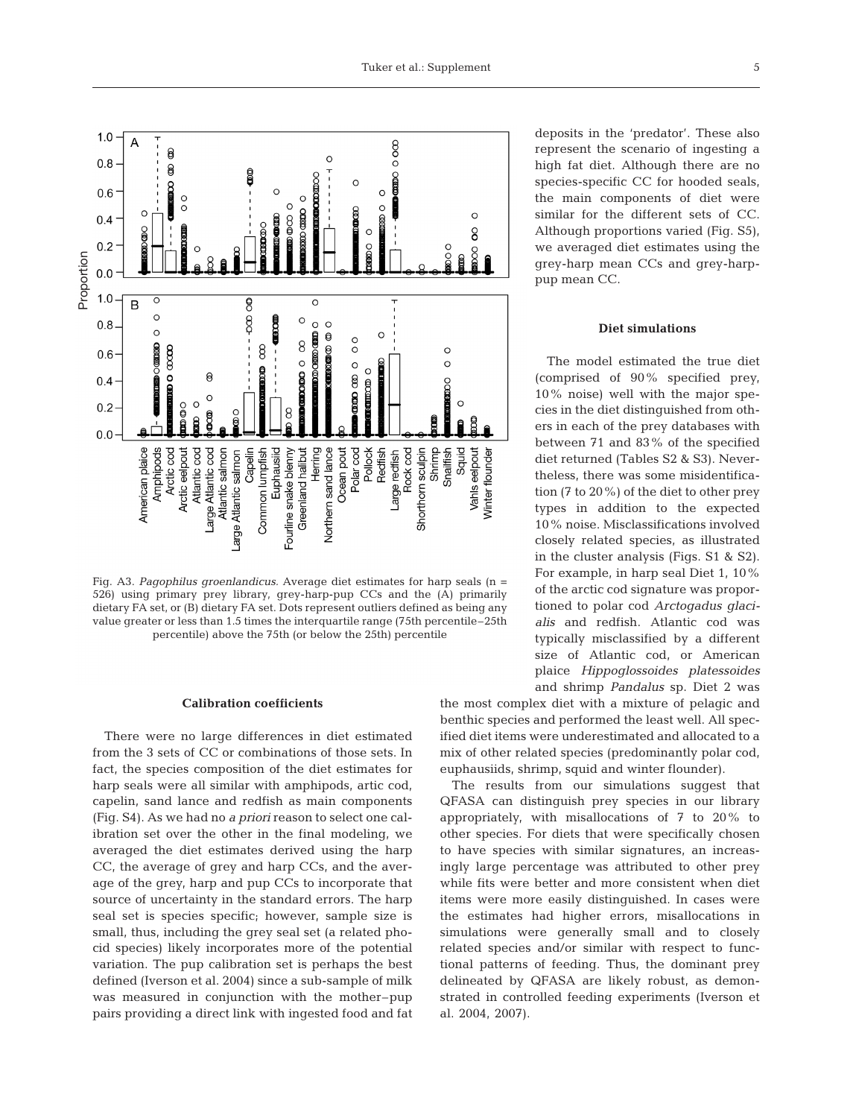



Fig. A3. *Pagophilus groenlandicus.* Average diet estimates for harp seals (n = 526) using primary prey library, grey-harp-pup CCs and the (A) primarily dietary FA set, or (B) dietary FA set. Dots represent outliers defined as being any value greater or less than 1.5 times the interquartile range (75th percentile–25th percentile) above the 75th (or below the 25th) percentile

## **Calibration coefficients**

There were no large differences in diet estimated from the 3 sets of CC or combinations of those sets. In fact, the species composition of the diet estimates for harp seals were all similar with amphipods, artic cod, capelin, sand lance and redfish as main components (Fig. S4). As we had no *a priori* reason to select one calibration set over the other in the final modeling, we averaged the diet estimates derived using the harp CC, the average of grey and harp CCs, and the average of the grey, harp and pup CCs to incorporate that source of uncertainty in the standard errors. The harp seal set is species specific; however, sample size is small, thus, including the grey seal set (a related phocid species) likely incorporates more of the potential variation. The pup calibration set is perhaps the best defined (Iverson et al. 2004) since a sub-sample of milk was measured in conjunction with the mother–pup pairs providing a direct link with ingested food and fat

deposits in the 'predator'. These also represent the scenario of ingesting a high fat diet. Although there are no species-specific CC for hooded seals, the main components of diet were similar for the different sets of CC. Although proportions varied (Fig. S5), we averaged diet estimates using the grey-harp mean CCs and grey-harppup mean CC.

#### **Diet simulations**

The model estimated the true diet (comprised of 90% specified prey, 10% noise) well with the major species in the diet distinguished from others in each of the prey databases with between 71 and 83% of the specified diet returned (Tables S2 & S3). Nevertheless, there was some misidentification (7 to 20%) of the diet to other prey types in addition to the expected 10% noise. Misclassifications involved closely related species, as illustrated in the cluster analysis (Figs. S1 & S2). For example, in harp seal Diet 1, 10% of the arctic cod signature was proportioned to polar cod *Arctogadus glacialis* and redfish. Atlantic cod was typically misclassified by a different size of Atlantic cod, or American plaice *Hippoglossoides platessoides* and shrimp *Pandalus* sp. Diet 2 was

the most complex diet with a mixture of pelagic and benthic species and performed the least well. All specified diet items were underestimated and allocated to a mix of other related species (predominantly polar cod, euphausiids, shrimp, squid and winter flounder).

The results from our simulations suggest that QFASA can distinguish prey species in our library appropriately, with misallocations of 7 to 20% to other species. For diets that were specifically chosen to have species with similar signatures, an increasingly large percentage was attributed to other prey while fits were better and more consistent when diet items were more easily distinguished. In cases were the estimates had higher errors, misallocations in simulations were generally small and to closely related species and/or similar with respect to functional patterns of feeding. Thus, the dominant prey delineated by QFASA are likely robust, as demonstrated in controlled feeding experiments (Iverson et al. 2004, 2007).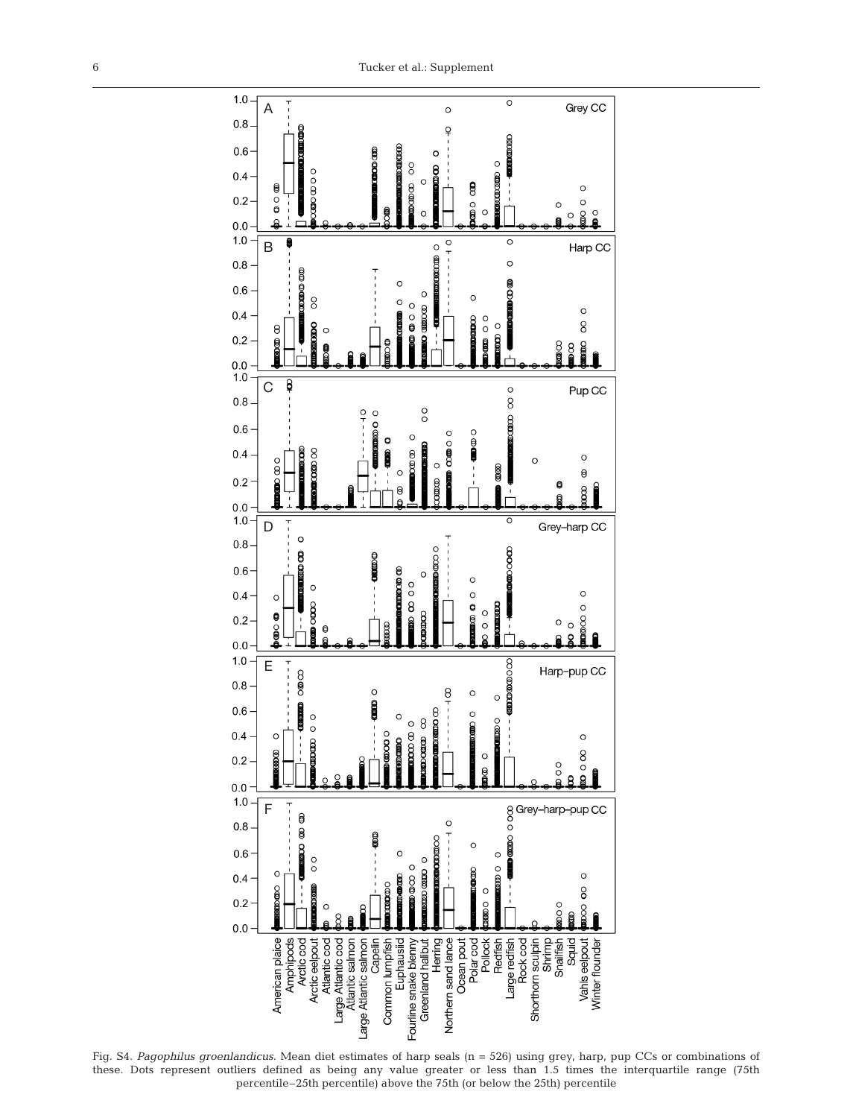

Fig. S4. *Pagophilus groenlandicus*. Mean diet estimates of harp seals (n = 526) using grey, harp, pup CCs or combinations of these. Dots represent outliers defined as being any value greater or less than 1.5 times the interquartile range (75th percentile–25th percentile) above the 75th (or below the 25th) percentile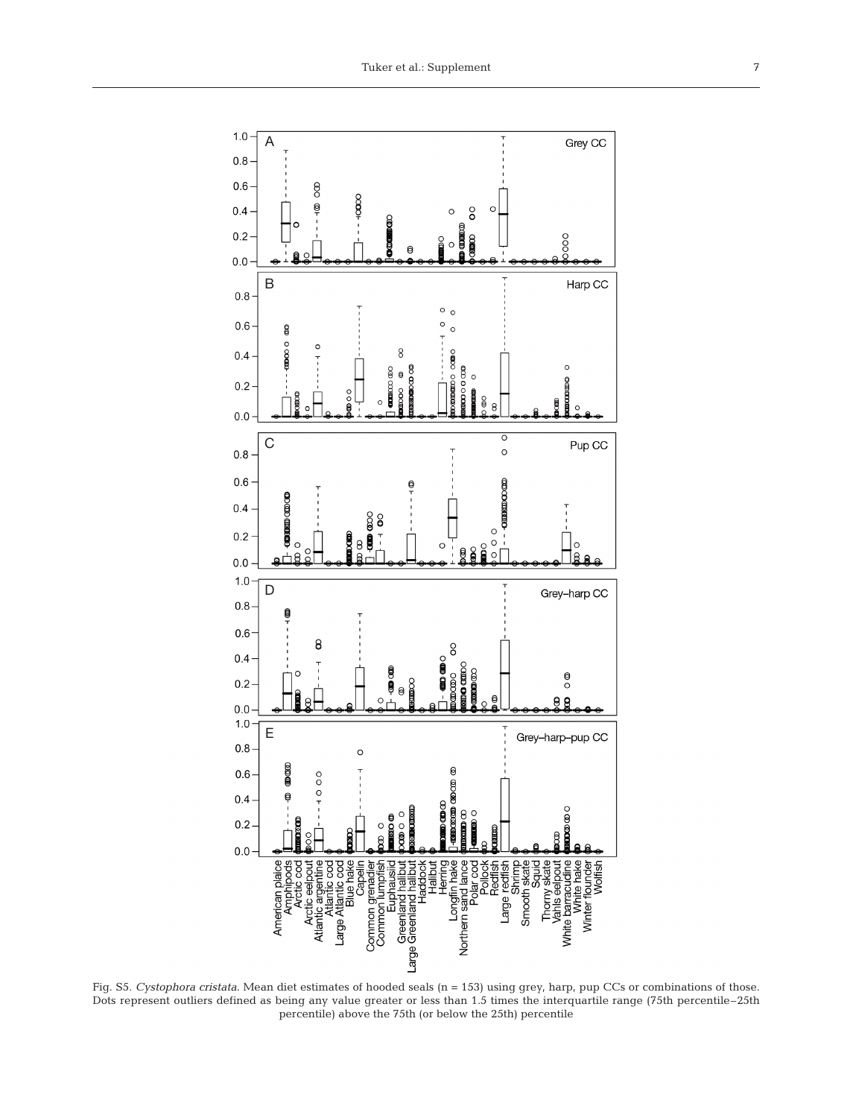

Fig. S5. *Cystophora cristata*. Mean diet estimates of hooded seals (n = 153) using grey, harp, pup CCs or combinations of those. Dots represent outliers defined as being any value greater or less than 1.5 times the interquartile range (75th percentile–25th percentile) above the 75th (or below the 25th) percentile